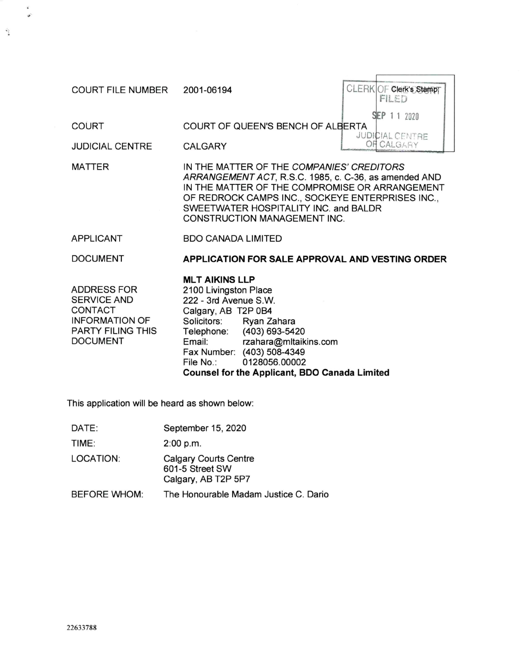| <b>COURT FILE NUMBER</b>                                                                                             | 2001-06194                                                                                                                                                                                                                                                                                                          | CLERKOF Clerk's Stamp<br>FILED                   |  |
|----------------------------------------------------------------------------------------------------------------------|---------------------------------------------------------------------------------------------------------------------------------------------------------------------------------------------------------------------------------------------------------------------------------------------------------------------|--------------------------------------------------|--|
| <b>COURT</b><br><b>JUDICIAL CENTRE</b>                                                                               | COURT OF QUEEN'S BENCH OF ALBERTA<br><b>CALGARY</b>                                                                                                                                                                                                                                                                 | SEP 11 2020<br><b>JUDICIAL CENTRE</b><br>CALGARY |  |
| <b>MATTER</b>                                                                                                        | IN THE MATTER OF THE COMPANIES' CREDITORS<br>ARRANGEMENT ACT, R.S.C. 1985, c. C-36, as amended AND<br>IN THE MATTER OF THE COMPROMISE OR ARRANGEMENT<br>OF REDROCK CAMPS INC., SOCKEYE ENTERPRISES INC.,<br>SWEETWATER HOSPITALITY INC. and BALDR<br><b>CONSTRUCTION MANAGEMENT INC.</b>                            |                                                  |  |
| <b>APPLICANT</b>                                                                                                     | <b>BDO CANADA LIMITED</b>                                                                                                                                                                                                                                                                                           |                                                  |  |
| <b>DOCUMENT</b>                                                                                                      | <b>APPLICATION FOR SALE APPROVAL AND VESTING ORDER</b>                                                                                                                                                                                                                                                              |                                                  |  |
| ADDRESS FOR<br><b>SERVICE AND</b><br>CONTACT<br><b>INFORMATION OF</b><br><b>PARTY FILING THIS</b><br><b>DOCUMENT</b> | <b>MLT AIKINS LLP</b><br>2100 Livingston Place<br>222 - 3rd Avenue S.W.<br>Calgary, AB T2P 0B4<br>Solicitors:<br>Ryan Zahara<br>(403) 693-5420<br>Telephone:<br>rzahara@mltaikins.com<br>Email:<br>Fax Number: (403) 508-4349<br>0128056.00002<br>File No.:<br><b>Counsel for the Applicant, BDO Canada Limited</b> |                                                  |  |

This application will be heard as shown below:

| DATE:        | September 15, 2020                                                     |
|--------------|------------------------------------------------------------------------|
| TIME:        | 2:00 p.m.                                                              |
| LOCATION:    | <b>Calgary Courts Centre</b><br>601-5 Street SW<br>Calgary, AB T2P 5P7 |
| BEFORE WHOM: | The Honourable Madam Justice C. Dario                                  |

 $\vec{\bullet}$  $\begin{matrix} \mathcal{L} \end{matrix}$ 

 $\frac{1}{2}$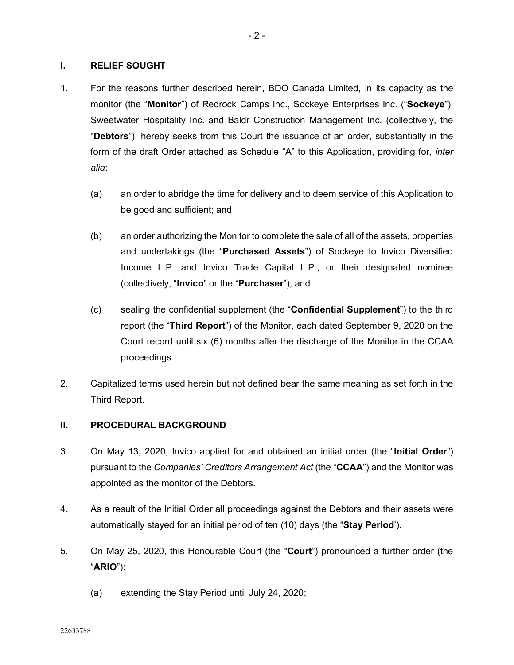# **I. RELIEF SOUGHT**

- 1. For the reasons further described herein, BDO Canada Limited, in its capacity as the monitor (the "**Monitor**") of Redrock Camps Inc., Sockeye Enterprises Inc. ("**Sockeye**"), Sweetwater Hospitality Inc. and Baldr Construction Management Inc. (collectively, the "**Debtors**"), hereby seeks from this Court the issuance of an order, substantially in the form of the draft Order attached as Schedule "A" to this Application, providing for, *inter alia*:
	- (a) an order to abridge the time for delivery and to deem service of this Application to be good and sufficient; and
	- (b) an order authorizing the Monitor to complete the sale of all of the assets, properties and undertakings (the "**Purchased Assets**") of Sockeye to Invico Diversified Income L.P. and Invico Trade Capital L.P., or their designated nominee (collectively, "**Invico**" or the "**Purchaser**"); and
	- (c) sealing the confidential supplement (the "**Confidential Supplement**") to the third report (the "**Third Report**") of the Monitor, each dated September 9, 2020 on the Court record until six (6) months after the discharge of the Monitor in the CCAA proceedings.
- 2. Capitalized terms used herein but not defined bear the same meaning as set forth in the Third Report.

# **II. PROCEDURAL BACKGROUND**

- 3. On May 13, 2020, Invico applied for and obtained an initial order (the "**Initial Order**") pursuant to the *Companies' Creditors Arrangement Act* (the "**CCAA**") and the Monitor was appointed as the monitor of the Debtors.
- 4. As a result of the Initial Order all proceedings against the Debtors and their assets were automatically stayed for an initial period of ten (10) days (the "**Stay Period**').
- 5. On May 25, 2020, this Honourable Court (the "**Court**") pronounced a further order (the "**ARIO**"):
	- (a) extending the Stay Period until July 24, 2020;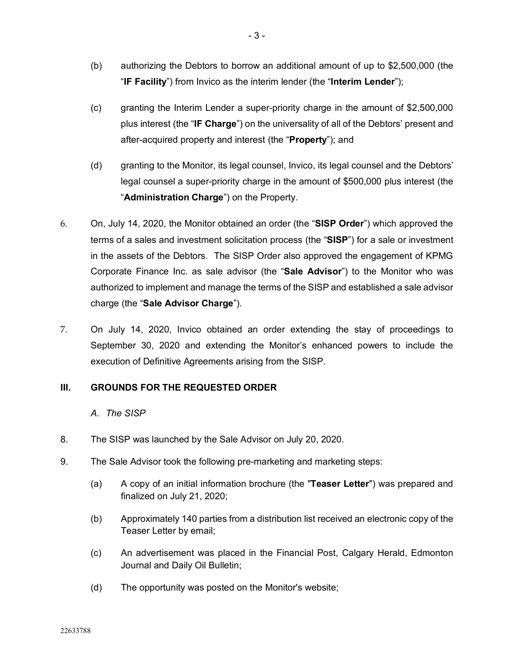- (b) authorizing the Debtors to borrow an additional amount of up to \$2,500,000 (the "**IF Facility**") from Invico as the interim lender (the "**Interim Lender**");
- (c) granting the Interim Lender a super-priority charge in the amount of \$2,500,000 plus interest (the "**IF Charge**") on the universality of all of the Debtors' present and after-acquired property and interest (the "**Property**"); and
- (d) granting to the Monitor, its legal counsel, Invico, its legal counsel and the Debtors' legal counsel a super-priority charge in the amount of \$500,000 plus interest (the "**Administration Charge**") on the Property.
- 6. On, July 14, 2020, the Monitor obtained an order (the "**SISP Order**") which approved the terms of a sales and investment solicitation process (the "**SISP**") for a sale or investment in the assets of the Debtors. The SISP Order also approved the engagement of KPMG Corporate Finance Inc. as sale advisor (the "**Sale Advisor**") to the Monitor who was authorized to implement and manage the terms of the SISP and established a sale advisor charge (the "**Sale Advisor Charge**").
- 7. On July 14, 2020, Invico obtained an order extending the stay of proceedings to September 30, 2020 and extending the Monitor's enhanced powers to include the execution of Definitive Agreements arising from the SISP.

# **III. GROUNDS FOR THE REQUESTED ORDER**

# *A. The SISP*

- 8. The SISP was launched by the Sale Advisor on July 20, 2020.
- 9. The Sale Advisor took the following pre-marketing and marketing steps:
	- (a) A copy of an initial information brochure (the "**Teaser Letter**") was prepared and finalized on July 21, 2020;
	- (b) Approximately 140 parties from a distribution list received an electronic copy of the Teaser Letter by email;
	- (c) An advertisement was placed in the Financial Post, Calgary Herald, Edmonton Journal and Daily Oil Bulletin;
	- (d) The opportunity was posted on the Monitor's website;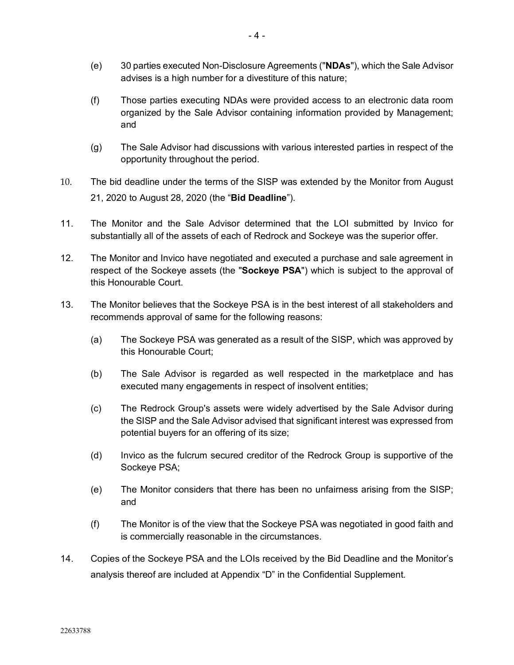- (e) 30 parties executed Non-Disclosure Agreements ("**NDAs**"), which the Sale Advisor advises is a high number for a divestiture of this nature;
- (f) Those parties executing NDAs were provided access to an electronic data room organized by the Sale Advisor containing information provided by Management; and
- (g) The Sale Advisor had discussions with various interested parties in respect of the opportunity throughout the period.
- 10. The bid deadline under the terms of the SISP was extended by the Monitor from August 21, 2020 to August 28, 2020 (the "**Bid Deadline**").
- 11. The Monitor and the Sale Advisor determined that the LOI submitted by Invico for substantially all of the assets of each of Redrock and Sockeye was the superior offer.
- 12. The Monitor and Invico have negotiated and executed a purchase and sale agreement in respect of the Sockeye assets (the "**Sockeye PSA**") which is subject to the approval of this Honourable Court.
- 13. The Monitor believes that the Sockeye PSA is in the best interest of all stakeholders and recommends approval of same for the following reasons:
	- (a) The Sockeye PSA was generated as a result of the SISP, which was approved by this Honourable Court;
	- (b) The Sale Advisor is regarded as well respected in the marketplace and has executed many engagements in respect of insolvent entities;
	- (c) The Redrock Group's assets were widely advertised by the Sale Advisor during the SISP and the Sale Advisor advised that significant interest was expressed from potential buyers for an offering of its size;
	- (d) Invico as the fulcrum secured creditor of the Redrock Group is supportive of the Sockeye PSA;
	- (e) The Monitor considers that there has been no unfairness arising from the SISP; and
	- (f) The Monitor is of the view that the Sockeye PSA was negotiated in good faith and is commercially reasonable in the circumstances.
- 14. Copies of the Sockeye PSA and the LOIs received by the Bid Deadline and the Monitor's analysis thereof are included at Appendix "D" in the Confidential Supplement.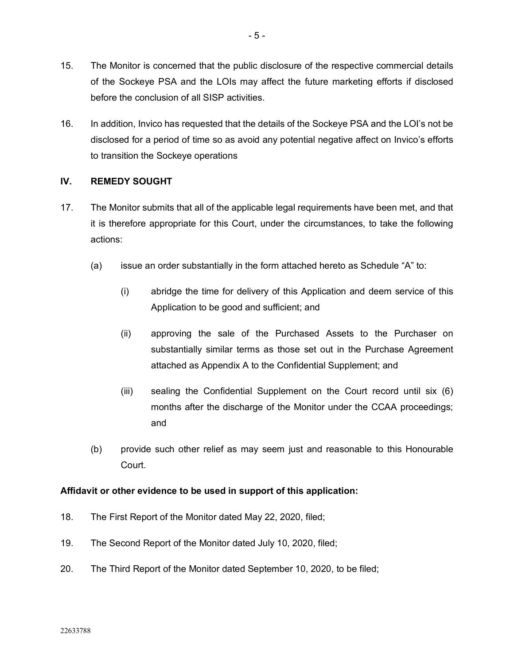- 15. The Monitor is concerned that the public disclosure of the respective commercial details of the Sockeye PSA and the LOIs may affect the future marketing efforts if disclosed before the conclusion of all SISP activities.
- 16. In addition, Invico has requested that the details of the Sockeye PSA and the LOI's not be disclosed for a period of time so as avoid any potential negative affect on Invico's efforts to transition the Sockeye operations

# **IV. REMEDY SOUGHT**

- 17. The Monitor submits that all of the applicable legal requirements have been met, and that it is therefore appropriate for this Court, under the circumstances, to take the following actions:
	- (a) issue an order substantially in the form attached hereto as Schedule "A" to:
		- (i) abridge the time for delivery of this Application and deem service of this Application to be good and sufficient; and
		- (ii) approving the sale of the Purchased Assets to the Purchaser on substantially similar terms as those set out in the Purchase Agreement attached as Appendix A to the Confidential Supplement; and
		- (iii) sealing the Confidential Supplement on the Court record until six (6) months after the discharge of the Monitor under the CCAA proceedings; and
	- (b) provide such other relief as may seem just and reasonable to this Honourable Court.

## **Affidavit or other evidence to be used in support of this application:**

- 18. The First Report of the Monitor dated May 22, 2020, filed;
- 19. The Second Report of the Monitor dated July 10, 2020, filed;
- 20. The Third Report of the Monitor dated September 10, 2020, to be filed;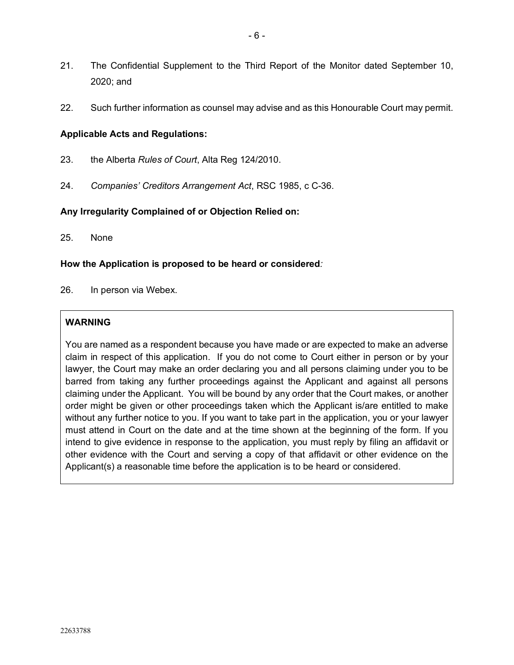- 21. The Confidential Supplement to the Third Report of the Monitor dated September 10, 2020; and
- 22. Such further information as counsel may advise and as this Honourable Court may permit.

# **Applicable Acts and Regulations:**

- 23. the Alberta *Rules of Court*, Alta Reg 124/2010.
- 24. *Companies' Creditors Arrangement Act*, RSC 1985, c C-36.

## **Any Irregularity Complained of or Objection Relied on:**

25. None

# **How the Application is proposed to be heard or considered***:*

26. In person via Webex.

# **WARNING**

You are named as a respondent because you have made or are expected to make an adverse claim in respect of this application. If you do not come to Court either in person or by your lawyer, the Court may make an order declaring you and all persons claiming under you to be barred from taking any further proceedings against the Applicant and against all persons claiming under the Applicant. You will be bound by any order that the Court makes, or another order might be given or other proceedings taken which the Applicant is/are entitled to make without any further notice to you. If you want to take part in the application, you or your lawyer must attend in Court on the date and at the time shown at the beginning of the form. If you intend to give evidence in response to the application, you must reply by filing an affidavit or other evidence with the Court and serving a copy of that affidavit or other evidence on the Applicant(s) a reasonable time before the application is to be heard or considered.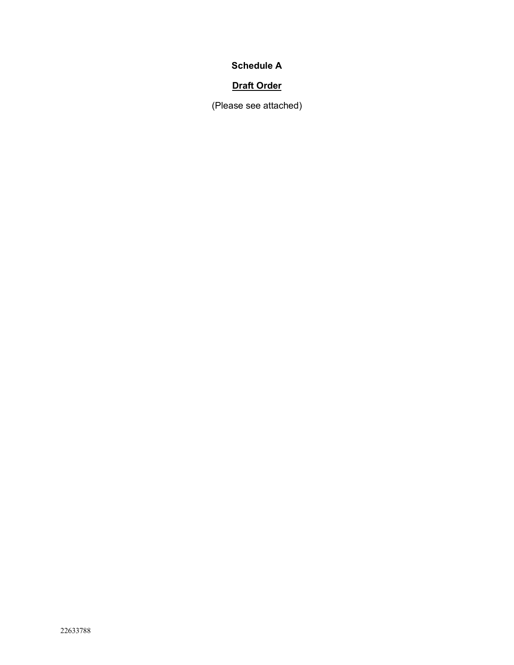# **Schedule A**

# **Draft Order**

(Please see attached)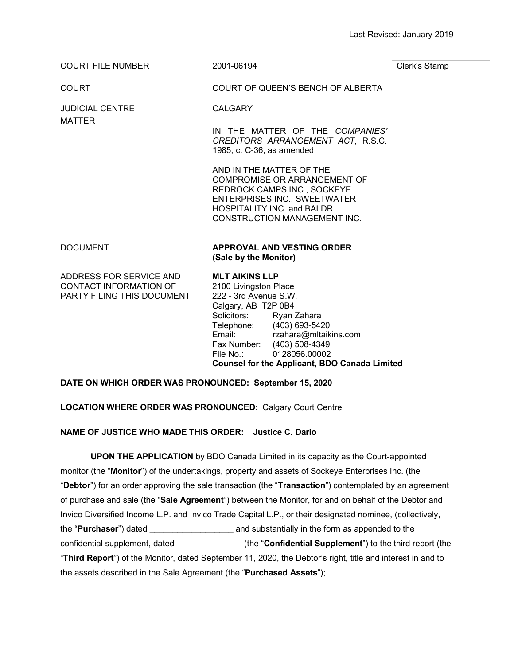| <b>COURT FILE NUMBER</b> | 2001-06194                                                                                                                                                                                   | Clerk's Stamp |
|--------------------------|----------------------------------------------------------------------------------------------------------------------------------------------------------------------------------------------|---------------|
| <b>COURT</b>             | COURT OF QUEEN'S BENCH OF ALBERTA                                                                                                                                                            |               |
| <b>JUDICIAL CENTRE</b>   | <b>CALGARY</b>                                                                                                                                                                               |               |
| <b>MATTER</b>            | IN THE MATTER OF THE COMPANIES'<br>CREDITORS ARRANGEMENT ACT, R.S.C.<br>1985, c. C-36, as amended                                                                                            |               |
|                          | AND IN THE MATTER OF THE<br>COMPROMISE OR ARRANGEMENT OF<br>REDROCK CAMPS INC., SOCKEYE<br><b>ENTERPRISES INC., SWEETWATER</b><br>HOSPITALITY INC. and BALDR<br>CONSTRUCTION MANAGEMENT INC. |               |
| <b>DOCUMENT</b>          | APPROVAL AND VESTING ORDER<br>(Sale by the Monitor)                                                                                                                                          |               |
| ADDDECC FOD CEDUCE AND   | <b>MIT AUZING I I D</b>                                                                                                                                                                      |               |

ADDRESS FOR SERVICE AND CONTACT INFORMATION OF PARTY FILING THIS DOCUMENT **MLT AIKINS LLP** 2100 Livingston Place 222 - 3rd Avenue S.W. Calgary, AB T2P 0B4 Solicitors: Ryan Zahara Telephone: (403) 693-5420 Email: rzahara@mltaikins.com Fax Number: (403) 508-4349 File No.: 0128056.00002 **Counsel for the Applicant, BDO Canada Limited**

## **DATE ON WHICH ORDER WAS PRONOUNCED: September 15, 2020**

## **LOCATION WHERE ORDER WAS PRONOUNCED:** Calgary Court Centre

## **NAME OF JUSTICE WHO MADE THIS ORDER: Justice C. Dario**

**UPON THE APPLICATION** by BDO Canada Limited in its capacity as the Court-appointed monitor (the "**Monitor**") of the undertakings, property and assets of Sockeye Enterprises Inc. (the "**Debtor**") for an order approving the sale transaction (the "**Transaction**") contemplated by an agreement of purchase and sale (the "**Sale Agreement**") between the Monitor, for and on behalf of the Debtor and Invico Diversified Income L.P. and Invico Trade Capital L.P., or their designated nominee, (collectively, the "**Purchaser**") dated \_\_\_\_\_\_\_\_\_\_\_\_\_\_\_\_\_\_ and substantially in the form as appended to the confidential supplement, dated \_\_\_\_\_\_\_\_\_\_\_\_\_\_\_\_(the "**Confidential Supplement**") to the third report (the "**Third Report**") of the Monitor, dated September 11, 2020, the Debtor's right, title and interest in and to the assets described in the Sale Agreement (the "**Purchased Assets**");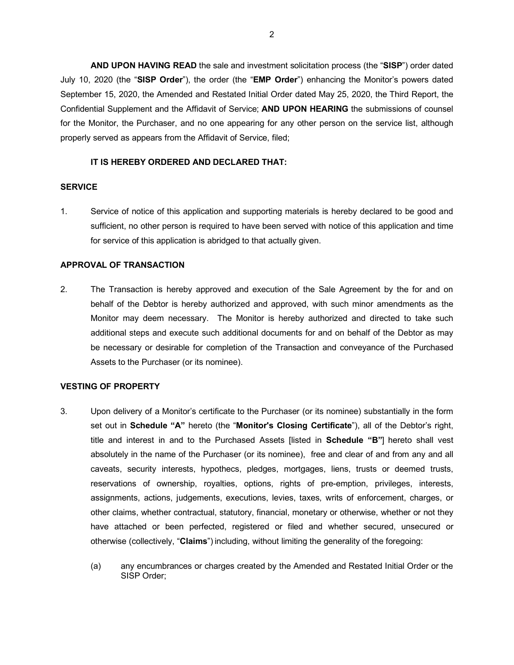**AND UPON HAVING READ** the sale and investment solicitation process (the "**SISP**") order dated July 10, 2020 (the "**SISP Order**"), the order (the "**EMP Order**") enhancing the Monitor's powers dated September 15, 2020, the Amended and Restated Initial Order dated May 25, 2020, the Third Report, the Confidential Supplement and the Affidavit of Service; **AND UPON HEARING** the submissions of counsel for the Monitor, the Purchaser, and no one appearing for any other person on the service list, although properly served as appears from the Affidavit of Service, filed;

#### **IT IS HEREBY ORDERED AND DECLARED THAT:**

#### **SERVICE**

1. Service of notice of this application and supporting materials is hereby declared to be good and sufficient, no other person is required to have been served with notice of this application and time for service of this application is abridged to that actually given.

### **APPROVAL OF TRANSACTION**

2. The Transaction is hereby approved and execution of the Sale Agreement by the for and on behalf of the Debtor is hereby authorized and approved, with such minor amendments as the Monitor may deem necessary. The Monitor is hereby authorized and directed to take such additional steps and execute such additional documents for and on behalf of the Debtor as may be necessary or desirable for completion of the Transaction and conveyance of the Purchased Assets to the Purchaser (or its nominee).

#### **VESTING OF PROPERTY**

- 3. Upon delivery of a Monitor's certificate to the Purchaser (or its nominee) substantially in the form set out in **Schedule "A"** hereto (the "**Monitor's Closing Certificate**"), all of the Debtor's right, title and interest in and to the Purchased Assets [listed in **Schedule "B"**] hereto shall vest absolutely in the name of the Purchaser (or its nominee), free and clear of and from any and all caveats, security interests, hypothecs, pledges, mortgages, liens, trusts or deemed trusts, reservations of ownership, royalties, options, rights of pre-emption, privileges, interests, assignments, actions, judgements, executions, levies, taxes, writs of enforcement, charges, or other claims, whether contractual, statutory, financial, monetary or otherwise, whether or not they have attached or been perfected, registered or filed and whether secured, unsecured or otherwise (collectively, "**Claims**") including, without limiting the generality of the foregoing:
	- (a) any encumbrances or charges created by the Amended and Restated Initial Order or the SISP Order;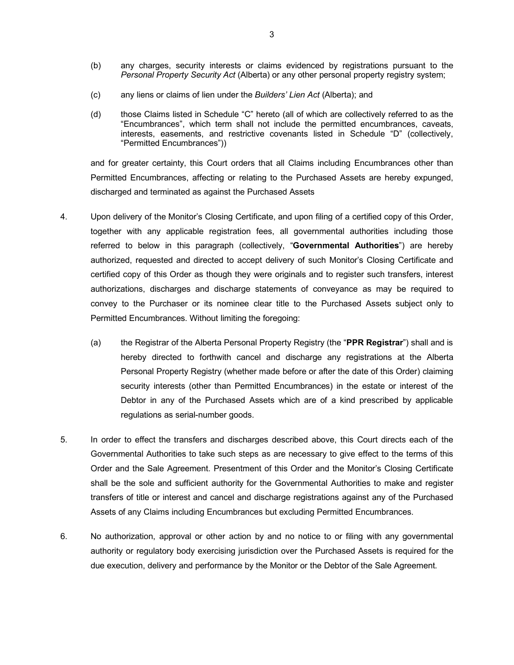- (b) any charges, security interests or claims evidenced by registrations pursuant to the *Personal Property Security Act* (Alberta) or any other personal property registry system;
- (c) any liens or claims of lien under the *Builders' Lien Act* (Alberta); and
- (d) those Claims listed in Schedule "C" hereto (all of which are collectively referred to as the "Encumbrances", which term shall not include the permitted encumbrances, caveats, interests, easements, and restrictive covenants listed in Schedule "D" (collectively, "Permitted Encumbrances"))

and for greater certainty, this Court orders that all Claims including Encumbrances other than Permitted Encumbrances, affecting or relating to the Purchased Assets are hereby expunged, discharged and terminated as against the Purchased Assets

- 4. Upon delivery of the Monitor's Closing Certificate, and upon filing of a certified copy of this Order, together with any applicable registration fees, all governmental authorities including those referred to below in this paragraph (collectively, "**Governmental Authorities**") are hereby authorized, requested and directed to accept delivery of such Monitor's Closing Certificate and certified copy of this Order as though they were originals and to register such transfers, interest authorizations, discharges and discharge statements of conveyance as may be required to convey to the Purchaser or its nominee clear title to the Purchased Assets subject only to Permitted Encumbrances. Without limiting the foregoing:
	- (a) the Registrar of the Alberta Personal Property Registry (the "**PPR Registrar**") shall and is hereby directed to forthwith cancel and discharge any registrations at the Alberta Personal Property Registry (whether made before or after the date of this Order) claiming security interests (other than Permitted Encumbrances) in the estate or interest of the Debtor in any of the Purchased Assets which are of a kind prescribed by applicable regulations as serial-number goods.
- 5. In order to effect the transfers and discharges described above, this Court directs each of the Governmental Authorities to take such steps as are necessary to give effect to the terms of this Order and the Sale Agreement. Presentment of this Order and the Monitor's Closing Certificate shall be the sole and sufficient authority for the Governmental Authorities to make and register transfers of title or interest and cancel and discharge registrations against any of the Purchased Assets of any Claims including Encumbrances but excluding Permitted Encumbrances.
- 6. No authorization, approval or other action by and no notice to or filing with any governmental authority or regulatory body exercising jurisdiction over the Purchased Assets is required for the due execution, delivery and performance by the Monitor or the Debtor of the Sale Agreement.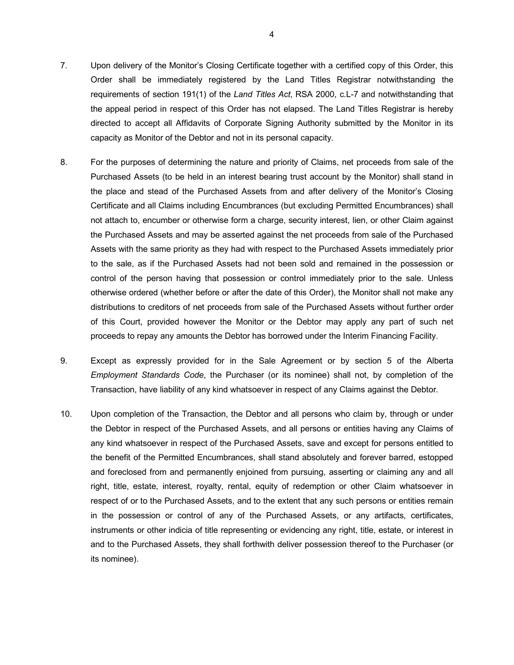- 7. Upon delivery of the Monitor's Closing Certificate together with a certified copy of this Order, this Order shall be immediately registered by the Land Titles Registrar notwithstanding the requirements of section 191(1) of the *Land Titles Act*, RSA 2000, c.L-7 and notwithstanding that the appeal period in respect of this Order has not elapsed. The Land Titles Registrar is hereby directed to accept all Affidavits of Corporate Signing Authority submitted by the Monitor in its capacity as Monitor of the Debtor and not in its personal capacity.
- 8. For the purposes of determining the nature and priority of Claims, net proceeds from sale of the Purchased Assets (to be held in an interest bearing trust account by the Monitor) shall stand in the place and stead of the Purchased Assets from and after delivery of the Monitor's Closing Certificate and all Claims including Encumbrances (but excluding Permitted Encumbrances) shall not attach to, encumber or otherwise form a charge, security interest, lien, or other Claim against the Purchased Assets and may be asserted against the net proceeds from sale of the Purchased Assets with the same priority as they had with respect to the Purchased Assets immediately prior to the sale, as if the Purchased Assets had not been sold and remained in the possession or control of the person having that possession or control immediately prior to the sale. Unless otherwise ordered (whether before or after the date of this Order), the Monitor shall not make any distributions to creditors of net proceeds from sale of the Purchased Assets without further order of this Court, provided however the Monitor or the Debtor may apply any part of such net proceeds to repay any amounts the Debtor has borrowed under the Interim Financing Facility.
- 9. Except as expressly provided for in the Sale Agreement or by section 5 of the Alberta *Employment Standards Code*, the Purchaser (or its nominee) shall not, by completion of the Transaction, have liability of any kind whatsoever in respect of any Claims against the Debtor.
- 10. Upon completion of the Transaction, the Debtor and all persons who claim by, through or under the Debtor in respect of the Purchased Assets, and all persons or entities having any Claims of any kind whatsoever in respect of the Purchased Assets, save and except for persons entitled to the benefit of the Permitted Encumbrances, shall stand absolutely and forever barred, estopped and foreclosed from and permanently enjoined from pursuing, asserting or claiming any and all right, title, estate, interest, royalty, rental, equity of redemption or other Claim whatsoever in respect of or to the Purchased Assets, and to the extent that any such persons or entities remain in the possession or control of any of the Purchased Assets, or any artifacts, certificates, instruments or other indicia of title representing or evidencing any right, title, estate, or interest in and to the Purchased Assets, they shall forthwith deliver possession thereof to the Purchaser (or its nominee).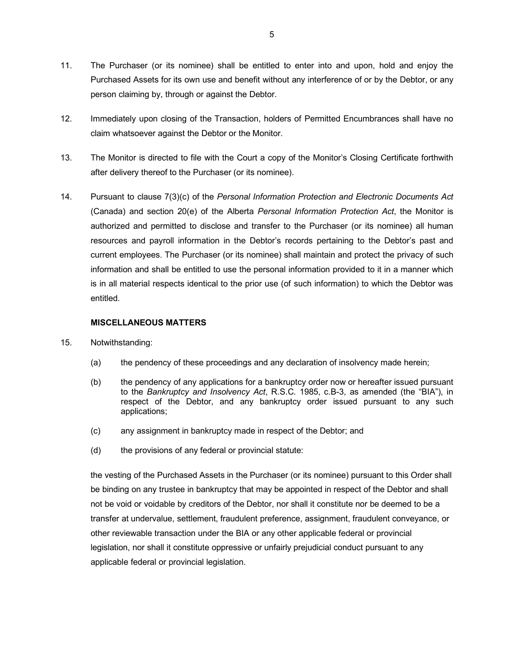- 11. The Purchaser (or its nominee) shall be entitled to enter into and upon, hold and enjoy the Purchased Assets for its own use and benefit without any interference of or by the Debtor, or any person claiming by, through or against the Debtor.
- 12. Immediately upon closing of the Transaction, holders of Permitted Encumbrances shall have no claim whatsoever against the Debtor or the Monitor.
- 13. The Monitor is directed to file with the Court a copy of the Monitor's Closing Certificate forthwith after delivery thereof to the Purchaser (or its nominee).
- 14. Pursuant to clause 7(3)(c) of the *Personal Information Protection and Electronic Documents Act*  (Canada) and section 20(e) of the Alberta *Personal Information Protection Act*, the Monitor is authorized and permitted to disclose and transfer to the Purchaser (or its nominee) all human resources and payroll information in the Debtor's records pertaining to the Debtor's past and current employees. The Purchaser (or its nominee) shall maintain and protect the privacy of such information and shall be entitled to use the personal information provided to it in a manner which is in all material respects identical to the prior use (of such information) to which the Debtor was entitled.

### **MISCELLANEOUS MATTERS**

- 15. Notwithstanding:
	- (a) the pendency of these proceedings and any declaration of insolvency made herein;
	- (b) the pendency of any applications for a bankruptcy order now or hereafter issued pursuant to the *Bankruptcy and Insolvency Act*, R.S.C. 1985, c.B-3, as amended (the "BIA"), in respect of the Debtor, and any bankruptcy order issued pursuant to any such applications;
	- (c) any assignment in bankruptcy made in respect of the Debtor; and
	- (d) the provisions of any federal or provincial statute:

the vesting of the Purchased Assets in the Purchaser (or its nominee) pursuant to this Order shall be binding on any trustee in bankruptcy that may be appointed in respect of the Debtor and shall not be void or voidable by creditors of the Debtor, nor shall it constitute nor be deemed to be a transfer at undervalue, settlement, fraudulent preference, assignment, fraudulent conveyance, or other reviewable transaction under the BIA or any other applicable federal or provincial legislation, nor shall it constitute oppressive or unfairly prejudicial conduct pursuant to any applicable federal or provincial legislation.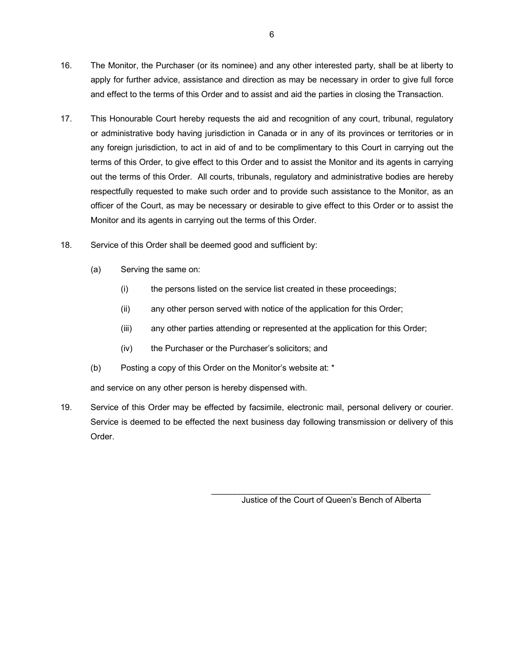- 16. The Monitor, the Purchaser (or its nominee) and any other interested party, shall be at liberty to apply for further advice, assistance and direction as may be necessary in order to give full force and effect to the terms of this Order and to assist and aid the parties in closing the Transaction.
- 17. This Honourable Court hereby requests the aid and recognition of any court, tribunal, regulatory or administrative body having jurisdiction in Canada or in any of its provinces or territories or in any foreign jurisdiction, to act in aid of and to be complimentary to this Court in carrying out the terms of this Order, to give effect to this Order and to assist the Monitor and its agents in carrying out the terms of this Order. All courts, tribunals, regulatory and administrative bodies are hereby respectfully requested to make such order and to provide such assistance to the Monitor, as an officer of the Court, as may be necessary or desirable to give effect to this Order or to assist the Monitor and its agents in carrying out the terms of this Order.
- 18. Service of this Order shall be deemed good and sufficient by:
	- (a) Serving the same on:
		- (i) the persons listed on the service list created in these proceedings;
		- (ii) any other person served with notice of the application for this Order;
		- (iii) any other parties attending or represented at the application for this Order;
		- (iv) the Purchaser or the Purchaser's solicitors; and
	- (b) Posting a copy of this Order on the Monitor's website at: \*

and service on any other person is hereby dispensed with.

19. Service of this Order may be effected by facsimile, electronic mail, personal delivery or courier. Service is deemed to be effected the next business day following transmission or delivery of this Order.

> \_\_\_\_\_\_\_\_\_\_\_\_\_\_\_\_\_\_\_\_\_\_\_\_\_\_\_\_\_\_\_\_\_\_\_\_\_\_\_\_\_\_\_\_\_\_\_ Justice of the Court of Queen's Bench of Alberta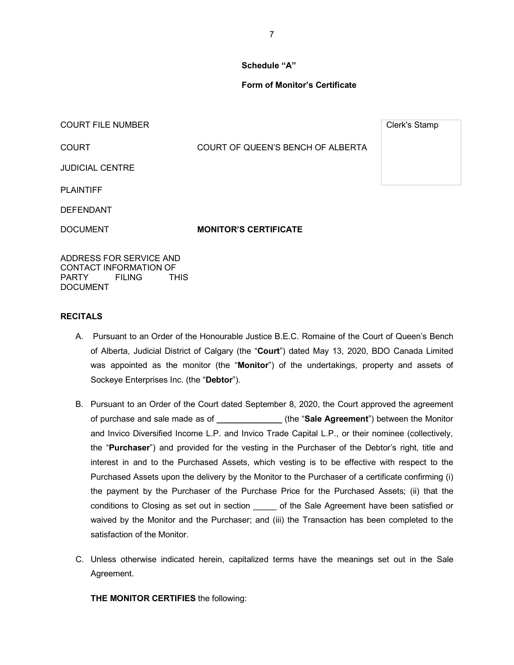#### **Schedule "A"**

### **Form of Monitor's Certificate**

COURT FILE NUMBER COURT FILE NUMBER

COURT COURT OF QUEEN'S BENCH OF ALBERTA

JUDICIAL CENTRE

PLAINTIFF

DEFENDANT

DOCUMENT **MONITOR'S CERTIFICATE** 

ADDRESS FOR SERVICE AND CONTACT INFORMATION OF<br>PARTY FILING THIS **FILING** DOCUMENT

#### **RECITALS**

- A. Pursuant to an Order of the Honourable Justice B.E.C. Romaine of the Court of Queen's Bench of Alberta, Judicial District of Calgary (the "**Court**") dated May 13, 2020, BDO Canada Limited was appointed as the monitor (the "**Monitor**") of the undertakings, property and assets of Sockeye Enterprises Inc. (the "**Debtor**").
- B. Pursuant to an Order of the Court dated September 8, 2020, the Court approved the agreement of purchase and sale made as of **\_\_\_\_\_\_\_\_\_\_\_\_\_\_** (the "**Sale Agreement**") between the Monitor and Invico Diversified Income L.P. and Invico Trade Capital L.P., or their nominee (collectively, the "**Purchaser**") and provided for the vesting in the Purchaser of the Debtor's right, title and interest in and to the Purchased Assets, which vesting is to be effective with respect to the Purchased Assets upon the delivery by the Monitor to the Purchaser of a certificate confirming (i) the payment by the Purchaser of the Purchase Price for the Purchased Assets; (ii) that the conditions to Closing as set out in section \_\_\_\_\_ of the Sale Agreement have been satisfied or waived by the Monitor and the Purchaser; and (iii) the Transaction has been completed to the satisfaction of the Monitor.
- C. Unless otherwise indicated herein, capitalized terms have the meanings set out in the Sale Agreement.

**THE MONITOR CERTIFIES** the following: